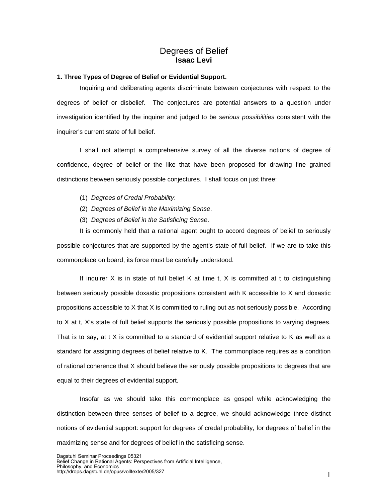## Degrees of Belief **Isaac Levi**

#### **1. Three Types of Degree of Belief or Evidential Support.**

Inquiring and deliberating agents discriminate between conjectures with respect to the degrees of belief or disbelief. The conjectures are potential answers to a question under investigation identified by the inquirer and judged to be *serious possibilities* consistent with the inquirer's current state of full belief.

I shall not attempt a comprehensive survey of all the diverse notions of degree of confidence, degree of belief or the like that have been proposed for drawing fine grained distinctions between seriously possible conjectures. I shall focus on just three:

- (1) *Degrees of Credal Probability*:
- (2) *Degrees of Belief in the Maximizing Sense*.
- (3) *Degrees of Belief in the Satisficing Sense*.

It is commonly held that a rational agent ought to accord degrees of belief to seriously possible conjectures that are supported by the agent's state of full belief. If we are to take this commonplace on board, its force must be carefully understood.

If inquirer X is in state of full belief K at time t, X is committed at t to distinguishing between seriously possible doxastic propositions consistent with K accessible to X and doxastic propositions accessible to X that X is committed to ruling out as not seriously possible. According to X at t, X's state of full belief supports the seriously possible propositions to varying degrees. That is to say, at t X is committed to a standard of evidential support relative to K as well as a standard for assigning degrees of belief relative to K. The commonplace requires as a condition of rational coherence that X should believe the seriously possible propositions to degrees that are equal to their degrees of evidential support.

Insofar as we should take this commonplace as gospel while acknowledging the distinction between three senses of belief to a degree, we should acknowledge three distinct notions of evidential support: support for degrees of credal probability, for degrees of belief in the maximizing sense and for degrees of belief in the satisficing sense.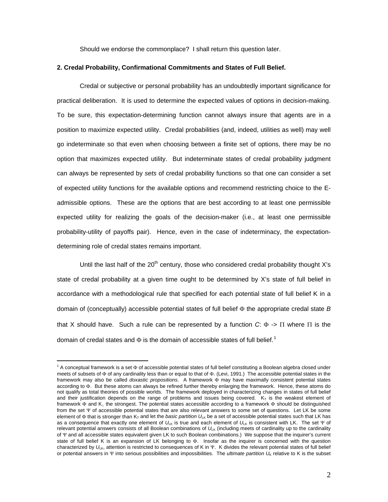Should we endorse the commonplace? I shall return this question later.

#### **2. Credal Probability, Confirmational Commitments and States of Full Belief.**

Credal or subjective or personal probability has an undoubtedly important significance for practical deliberation. It is used to determine the expected values of options in decision-making. To be sure, this expectation-determining function cannot always insure that agents are in a position to maximize expected utility. Credal probabilities (and, indeed, utilities as well) may well go indeterminate so that even when choosing between a finite set of options, there may be no option that maximizes expected utility. But indeterminate states of credal probability judgment can always be represented by *sets* of credal probability functions so that one can consider a set of expected utility functions for the available options and recommend restricting choice to the Eadmissible options. These are the options that are best according to at least one permissible expected utility for realizing the goals of the decision-maker (i.e., at least one permissible probability-utility of payoffs pair). Hence, even in the case of indeterminacy, the expectationdetermining role of credal states remains important.

Until the last half of the 20<sup>th</sup> century, those who considered credal probability thought  $X$ 's state of credal probability at a given time ought to be determined by X's state of full belief in accordance with a methodological rule that specified for each potential state of full belief K in a domain of (conceptually) accessible potential states of full belief Φ the appropriate credal state *B* that X should have. Such a rule can be represented by a function *C*: Φ -> Π where Π is the domain of credal states and  $\Phi$  is the domain of accessible states of full belief.<sup>[1](#page-1-0)</sup>

<span id="page-1-0"></span> $1$  A conceptual framework is a set  $\Phi$  of accessible potential states of full belief constituting a Boolean algebra closed under meets of subsets of Φ of any cardinality less than or equal to that of Φ. (Levi, 1991.) The accessible potential states in the framework may also be called *doxastic propositions*. A framework Φ may have maximally consistent potential states according to Φ. But these atoms can always be refined further thereby enlarging the framework. Hence, these atoms do not qualify as total theories of possible worlds. The framework deployed in characterizing changes in states of full belief and their justification depends on the range of problems and issues being covered.  $K<sub>T</sub>$  is the weakest element of framework Φ and K⊥ the strongest. The potential states accessible according to a framework Φ should be distinguished from the set Ψ of accessible potential states that are also relevant answers to some set of questions. Let LK be some element of Φ that is stronger than K<sub>T</sub> and let the *basic partition* U<sub>LK</sub> be a set of accessible potential states such that LK has as a consequence that exactly one element of  $U_{1K}$  is true and each element of  $U_{1K}$  is consistent with LK. The set  $\Psi$  of relevant potential answers consists of all Boolean combinations of  $U_{K}$  (including meets of cardinality up to the cardinality of Ψ and all accessible states equivalent given LK to such Boolean combinations.) We suppose that the inquirer's current state of full belief K is an expansion of LK belonging to Φ. Insofar as the inquirer is concerned with the question characterized by *U<sub>LK</sub>*, attention is restricted to consequences of K in Ψ. K divides the relevant potential states of full belief or potential answers in Ψ into serious possibilities and impossibilities. The *ultimate partition U<sub>K</sub>* relative to K is the subset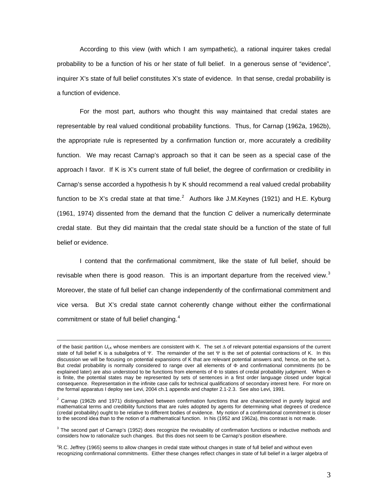According to this view (with which I am sympathetic), a rational inquirer takes credal probability to be a function of his or her state of full belief. In a generous sense of "evidence", inquirer X's state of full belief constitutes X's state of evidence. In that sense, credal probability is a function of evidence.

For the most part, authors who thought this way maintained that credal states are representable by real valued conditional probability functions. Thus, for Carnap (1962a, 1962b), the appropriate rule is represented by a confirmation function or, more accurately a credibility function. We may recast Carnap's approach so that it can be seen as a special case of the approach I favor. If K is X's current state of full belief, the degree of confirmation or credibility in Carnap's sense accorded a hypothesis h by K should recommend a real valued credal probability function to be X's credal state at that time.<sup>[2](#page-2-0)</sup> Authors like J.M.Keynes (1921) and H.E. Kyburg (1961, 1974) dissented from the demand that the function *C* deliver a numerically determinate credal state. But they did maintain that the credal state should be a function of the state of full belief or evidence.

I contend that the confirmational commitment, like the state of full belief, should be revisable when there is good reason. This is an important departure from the received view.<sup>[3](#page-2-1)</sup> Moreover, the state of full belief can change independently of the confirmational commitment and vice versa. But X's credal state cannot coherently change without either the confirmational commitment or state of full belief changing.<sup>[4](#page-2-2)</sup>

of the basic partition U<sub>LK</sub> whose members are consistent with K. The set Δ of relevant potential expansions of the current state of full belief K is a subalgebra of Ψ. The remainder of the set Ψ is the set of potential contractions of K. In this discussion we will be focusing on potential expansions of K that are relevant potential answers and, hence, on the set Δ. But credal probability is normally considered to range over all elements of Φ and confirmational commitments (to be explained later) are also understood to be functions from elements of Φ to states of credal probability judgment. When Φ is finite, the potential states may be represented by sets of sentences in a first order language closed under logical consequence. Representation in the infinite case calls for technical qualifications of secondary interest here. For more on the formal apparatus I deploy see Levi, 2004 ch.1 appendix and chapter 2.1-2.3. See also Levi, 1991.

<span id="page-2-0"></span><sup>&</sup>lt;sup>2</sup> Carnap (1962b and 1971) distinguished between confirmation functions that are characterized in purely logical and mathematical terms and credibility functions that are rules adopted by agents for determining what degrees of credence (credal probability) ought to be relative to different bodies of evidence. My notion of a confirmational commitment is closer to the second idea than to the notion of a mathematical function. In his (1952 and 1962a), this contrast is not made.

<span id="page-2-1"></span> $3$  The second part of Carnap's (1952) does recognize the revisability of confirmation functions or inductive methods and considers how to rationalize such changes. But this does not seem to be Carnap's position elsewhere.

<span id="page-2-2"></span><sup>4</sup> R.C. Jeffrey (1965) seems to allow changes in credal state without changes in state of full belief and without even recognizing confirmational commitments. Either these changes reflect changes in state of full belief in a larger algebra of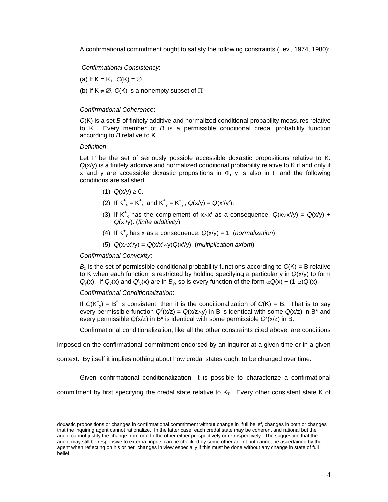A confirmational commitment ought to satisfy the following constraints (Levi, 1974, 1980):

 *Confirmational Consistency*:

(a) If  $K = K_1$ ,  $C(K) = \emptyset$ .

(b) If  $K \neq \emptyset$ ,  $C(K)$  is a nonempty subset of  $\Pi$ 

#### *Confirmational Coherence*:

*C*(K) is a set *B* of finitely additive and normalized conditional probability measures relative to K. Every member of *B* is a permissible conditional credal probability function according to *B* relative to K

#### *Definition*:

 $\overline{a}$ 

Let  $\Gamma$  be the set of seriously possible accessible doxastic propositions relative to K. *Q*(x/y) is a finitely additive and normalized conditional probability relative to K if and only if x and y are accessible doxastic propositions in  $\Phi$ , y is also in  $\Gamma$  and the following conditions are satisfied.

- (1)  $Q(x/y) \ge 0$ .
- (2) If  $K_{x}^{+} = K_{x}^{+}$  and  $K_{y}^{+} = K_{y}^{+}$ ,  $Q(x/y) = Q(x/y')$ .
- (3) If K<sup>+</sup><sub>x</sub> has the complement of x∧x' as a consequence,  $Q(x\vee x'/y) = Q(x/y) +$ *Q*(x'/y). (*finite additivity*)
- (4) If  $K_y^+$  has x as a consequence,  $Q(x/y) = 1$ . (*normalization*)
- (5) *Q*(x∧x'/y) = *Q*(x/x'∧y)*Q*(x'/y). (*multiplication axiom*)

#### *Confirmational Convexity*:

 $B_x$  is the set of permissible conditional probability functions according to  $C(K) = B$  relative to K when each function is restricted by holding specifying a particular y in *Q*(x/y) to form *Q*<sub>y</sub>(x). If *Q*<sub>y</sub>(x) and *Q*'<sub>y</sub>(x) are in *B*<sub>y</sub>, so is every function of the form  $\alpha$ *Q*(x) + (1- $\alpha$ )*Q*'(x).

*Confirmational Conditionalization*:

If  $C(K^+_{y}) = B^*$  is consistent, then it is the conditionalization of  $C(K) = B$ . That is to say every permissible function  $Q^{y}(x/z) = Q(x/z \wedge y)$  in B is identical with some  $Q(x/z)$  in B<sup>\*</sup> and every permissible *Q*(x/z) in B<sup>\*</sup> is identical with some permissible *Q*<sup>y</sup>(x/z) in B.

Confirmational conditionalization, like all the other constraints cited above, are conditions

imposed on the confirmational commitment endorsed by an inquirer at a given time or in a given

context. By itself it implies nothing about how credal states ought to be changed over time.

Given confirmational conditionalization, it is possible to characterize a confirmational

commitment by first specifying the credal state relative to  $K<sub>T</sub>$ . Every other consistent state K of

doxastic propositions or changes in confirmational commitment without change in full belief, changes in both or changes that the inquiring agent cannot rationalize. In the latter case, each credal state may be coherent and rational but the agent cannot justify the change from one to the other either prospectively or retrospectively. The suggestion that the agent may still be responsive to external inputs can be checked by some other agent but cannot be ascertained by the agent when reflecting on his or her changes in view especially if this must be done without any change in state of full belief.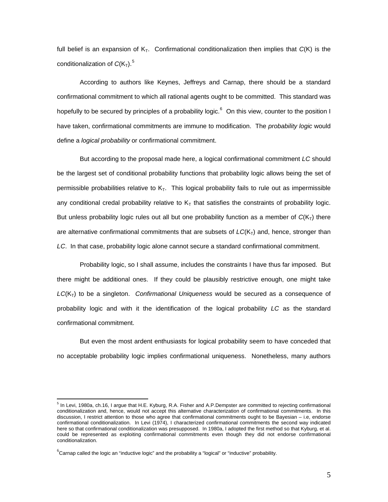full belief is an expansion of  $K<sub>T</sub>$ . Confirmational conditionalization then implies that  $C(K)$  is the conditionalization of  $C(K_T)$ .<sup>[5](#page-4-0)</sup>

According to authors like Keynes, Jeffreys and Carnap, there should be a standard confirmational commitment to which all rational agents ought to be committed. This standard was hopefully to be secured by principles of a probability logic. $6$  On this view, counter to the position I have taken, confirmational commitments are immune to modification. The *probability logic* would define a *logical probability* or confirmational commitment.

But according to the proposal made here, a logical confirmational commitment *LC* should be the largest set of conditional probability functions that probability logic allows being the set of permissible probabilities relative to  $K<sub>T</sub>$ . This logical probability fails to rule out as impermissible any conditional credal probability relative to  $K<sub>T</sub>$  that satisfies the constraints of probability logic. But unless probability logic rules out all but one probability function as a member of  $C(K_T)$  there are alternative confirmational commitments that are subsets of  $LC(K<sub>T</sub>)$  and, hence, stronger than *LC*. In that case, probability logic alone cannot secure a standard confirmational commitment.

Probability logic, so I shall assume, includes the constraints I have thus far imposed. But there might be additional ones. If they could be plausibly restrictive enough, one might take *LC*(K<sub>T</sub>) to be a singleton. *Confirmational Uniqueness* would be secured as a consequence of probability logic and with it the identification of the logical probability *LC* as the standard confirmational commitment.

But even the most ardent enthusiasts for logical probability seem to have conceded that no acceptable probability logic implies confirmational uniqueness. Nonetheless, many authors

<span id="page-4-0"></span> 5 In Levi, 1980a, ch.16, I argue that H.E. Kyburg, R.A. Fisher and A.P.Dempster are committed to rejecting confirmational conditionalization and, hence, would not accept this alternative characterization of confirmational commitments. In this discussion, I restrict attention to those who agree that confirmational commitments ought to be Bayesian – i.e, endorse confirmational conditionalization. In Levi (1974), I characterized confirmational commitments the second way indicated here so that confirmational conditionalization was presupposed. In 1980a, I adopted the first method so that Kyburg, et al. could be represented as exploiting confirmational commitments even though they did not endorse confirmational conditionalization.

<span id="page-4-1"></span> ${}^{6}$ Carnap called the logic an "inductive logic" and the probability a "logical" or "inductive" probability.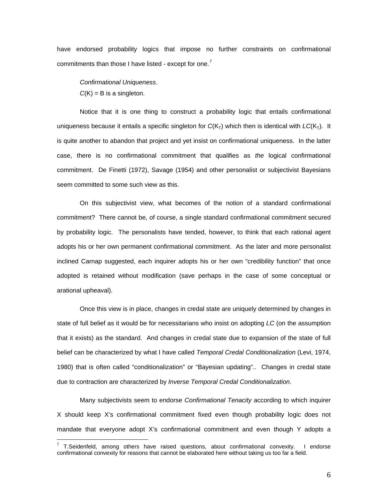have endorsed probability logics that impose no further constraints on confirmational commitments than those I have listed - except for one.<sup>[7](#page-5-0)</sup>

*Confirmational Uniqueness*.  $C(K) = B$  is a singleton.

 $\overline{a}$ 

Notice that it is one thing to construct a probability logic that entails confirmational uniqueness because it entails a specific singleton for  $C(K_T)$  which then is identical with  $LC(K_T)$ . It is quite another to abandon that project and yet insist on confirmational uniqueness. In the latter case, there is no confirmational commitment that qualifies as *the* logical confirmational commitment. De Finetti (1972), Savage (1954) and other personalist or subjectivist Bayesians seem committed to some such view as this.

On this subjectivist view, what becomes of the notion of a standard confirmational commitment? There cannot be, of course, a single standard confirmational commitment secured by probability logic. The personalists have tended, however, to think that each rational agent adopts his or her own permanent confirmational commitment. As the later and more personalist inclined Carnap suggested, each inquirer adopts his or her own "credibility function" that once adopted is retained without modification (save perhaps in the case of some conceptual or arational upheaval).

Once this view is in place, changes in credal state are uniquely determined by changes in state of full belief as it would be for necessitarians who insist on adopting *LC* (on the assumption that it exists) as the standard. And changes in credal state due to expansion of the state of full belief can be characterized by what I have called *Temporal Credal Conditionalization* (Levi, 1974, 1980) that is often called "conditionalization" or "Bayesian updating".. Changes in credal state due to contraction are characterized by *Inverse Temporal Credal Conditionalization*.

Many subjectivists seem to endorse *Confirmational Tenacity* according to which inquirer X should keep X's confirmational commitment fixed even though probability logic does not mandate that everyone adopt X's confirmational commitment and even though Y adopts a

<span id="page-5-0"></span><sup>7</sup> T.Seidenfeld, among others have raised questions, about confirmational convexity. I endorse confirmational convexity for reasons that cannot be elaborated here without taking us too far a field.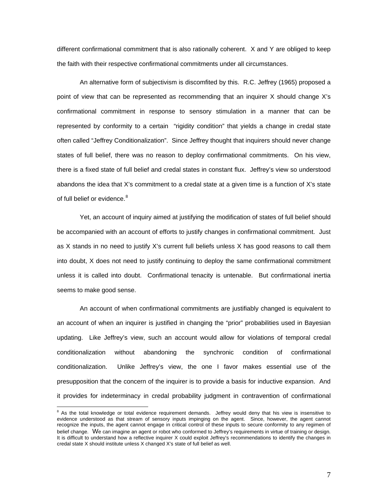different confirmational commitment that is also rationally coherent. X and Y are obliged to keep the faith with their respective confirmational commitments under all circumstances.

An alternative form of subjectivism is discomfited by this. R.C. Jeffrey (1965) proposed a point of view that can be represented as recommending that an inquirer X should change X's confirmational commitment in response to sensory stimulation in a manner that can be represented by conformity to a certain "rigidity condition" that yields a change in credal state often called "Jeffrey Conditionalization". Since Jeffrey thought that inquirers should never change states of full belief, there was no reason to deploy confirmational commitments. On his view, there is a fixed state of full belief and credal states in constant flux. Jeffrey's view so understood abandons the idea that X's commitment to a credal state at a given time is a function of X's state of full belief or evidence.<sup>[8](#page-6-0)</sup>

Yet, an account of inquiry aimed at justifying the modification of states of full belief should be accompanied with an account of efforts to justify changes in confirmational commitment. Just as X stands in no need to justify X's current full beliefs unless X has good reasons to call them into doubt, X does not need to justify continuing to deploy the same confirmational commitment unless it is called into doubt. Confirmational tenacity is untenable. But confirmational inertia seems to make good sense.

An account of when confirmational commitments are justifiably changed is equivalent to an account of when an inquirer is justified in changing the "prior" probabilities used in Bayesian updating. Like Jeffrey's view, such an account would allow for violations of temporal credal conditionalization without abandoning the synchronic condition of confirmational conditionalization. Unlike Jeffrey's view, the one I favor makes essential use of the presupposition that the concern of the inquirer is to provide a basis for inductive expansion. And it provides for indeterminacy in credal probability judgment in contravention of confirmational

<span id="page-6-0"></span><sup>&</sup>lt;sup>8</sup> As the total knowledge or total evidence requirement demands. Jeffrey would deny that his view is insensitive to evidence understood as that stream of sensory inputs impinging on the agent. Since, however, the agent cannot recognize the inputs, the agent cannot engage in critical control of these inputs to secure conformity to any regimen of belief change. We can imagine an agent or robot who conformed to Jeffrey's requirements in virtue of training or design. It is difficult to understand how a reflective inquirer X could exploit Jeffrey's recommendations to identify the changes in credal state X should institute unless X changed X's state of full belief as well.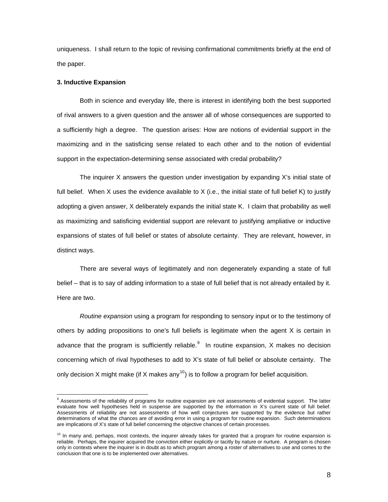uniqueness. I shall return to the topic of revising confirmational commitments briefly at the end of the paper.

#### **3. Inductive Expansion**

Both in science and everyday life, there is interest in identifying both the best supported of rival answers to a given question and the answer all of whose consequences are supported to a sufficiently high a degree. The question arises: How are notions of evidential support in the maximizing and in the satisficing sense related to each other and to the notion of evidential support in the expectation-determining sense associated with credal probability?

The inquirer X answers the question under investigation by expanding X's initial state of full belief. When X uses the evidence available to X (i.e., the initial state of full belief K) to justify adopting a given answer, X deliberately expands the initial state K. I claim that probability as well as maximizing and satisficing evidential support are relevant to justifying ampliative or inductive expansions of states of full belief or states of absolute certainty. They are relevant, however, in distinct ways.

There are several ways of legitimately and non degenerately expanding a state of full belief – that is to say of adding information to a state of full belief that is not already entailed by it. Here are two.

*Routine expansion* using a program for responding to sensory input or to the testimony of others by adding propositions to one's full beliefs is legitimate when the agent X is certain in advance that the program is sufficiently reliable. $9\,$  $9\,$  In routine expansion, X makes no decision concerning which of rival hypotheses to add to X's state of full belief or absolute certainty. The only decision X might make (if X makes any  $10$ ) is to follow a program for belief acquisition.

<span id="page-7-0"></span>external of the reliability of programs for routine expansion are not assessments of evidential support. The latter<br>Assessments of the reliability of programs for routine expansion are not assessments of evidential support evaluate how well hypotheses held in suspense are supported by the information in X's current state of full belief. Assessments of reliability are not assessments of how well conjectures are supported by the evidence but rather determinations of what the chances are of avoiding error in using a program for routine expansion. Such determinations are implications of X's state of full belief concerning the objective chances of certain processes.

<span id="page-7-1"></span><sup>&</sup>lt;sup>10</sup> In many and, perhaps, most contexts, the inquirer already takes for granted that a program for routine expansion is reliable. Perhaps, the inquirer acquired the conviction either explicitly or tacitly by nature or nurture. A program is chosen only in contexts where the inquirer is in doubt as to which program among a roster of alternatives to use and comes to the conclusion that one is to be implemented over alternatives.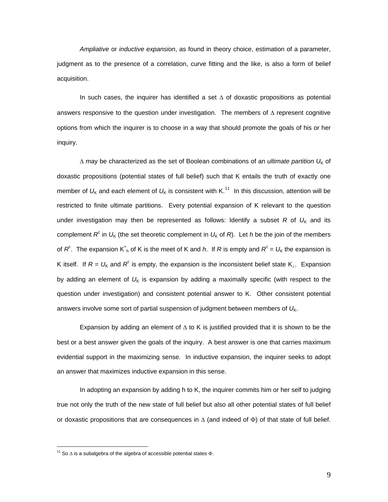*Ampliative* or *inductive expansion*, as found in theory choice, estimation of a parameter, judgment as to the presence of a correlation, curve fitting and the like, is also a form of belief acquisition.

In such cases, the inquirer has identified a set  $\Delta$  of doxastic propositions as potential answers responsive to the question under investigation. The members of  $\Delta$  represent cognitive options from which the inquirer is to choose in a way that should promote the goals of his or her inquiry.

 $\Delta$  may be characterized as the set of Boolean combinations of an *ultimate partition*  $U_K$  of doxastic propositions (potential states of full belief) such that K entails the truth of exactly one member of  $U_K$  and each element of  $U_K$  is consistent with K.<sup>[11](#page-8-0)</sup> In this discussion, attention will be restricted to finite ultimate partitions. Every potential expansion of K relevant to the question under investigation may then be represented as follows: Identify a subset  $R$  of  $U_K$  and its complement  $R^c$  in  $U_K$  (the set theoretic complement in  $U_K$  of  $R$ ). Let *h* be the join of the members of  $R^c$ . The expansion K<sup>+</sup><sub>h</sub> of K is the meet of K and *h*. If R is empty and  $R^c = U_K$  the expansion is K itself. If  $R = U_k$  and  $R^c$  is empty, the expansion is the inconsistent belief state K<sub>⊥</sub>. Expansion by adding an element of  $U_K$  is expansion by adding a maximally specific (with respect to the question under investigation) and consistent potential answer to K. Other consistent potential answers involve some sort of partial suspension of judgment between members of  $U_{K}$ .

Expansion by adding an element of  $\Delta$  to K is justified provided that it is shown to be the best or a best answer given the goals of the inquiry. A best answer is one that carries maximum evidential support in the maximizing sense. In inductive expansion, the inquirer seeks to adopt an answer that maximizes inductive expansion in this sense.

In adopting an expansion by adding h to K, the inquirer commits him or her self to judging true not only the truth of the new state of full belief but also all other potential states of full belief or doxastic propositions that are consequences in  $\Delta$  (and indeed of  $\Phi$ ) of that state of full belief.

<span id="page-8-0"></span><sup>&</sup>lt;sup>11</sup> So  $\Delta$  is a subalgebra of the algebra of accessible potential states  $\Phi$ .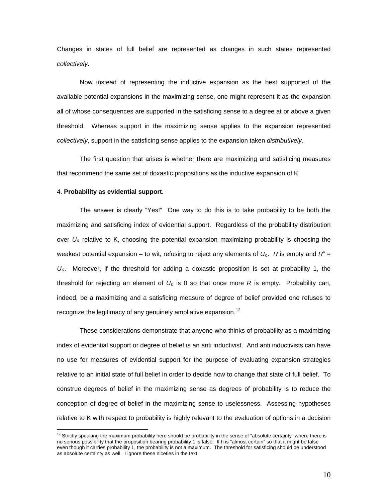Changes in states of full belief are represented as changes in such states represented *collectively*.

Now instead of representing the inductive expansion as the best supported of the available potential expansions in the maximizing sense, one might represent it as the expansion all of whose consequences are supported in the satisficing sense to a degree at or above a given threshold. Whereas support in the maximizing sense applies to the expansion represented *collectively*, support in the satisficing sense applies to the expansion taken *distributively*.

The first question that arises is whether there are maximizing and satisficing measures that recommend the same set of doxastic propositions as the inductive expansion of K.

### 4. **Probability as evidential support.**

 $\overline{a}$ 

The answer is clearly "Yes!" One way to do this is to take probability to be both the maximizing and satisficing index of evidential support. Regardless of the probability distribution over  $U<sub>K</sub>$  relative to K, choosing the potential expansion maximizing probability is choosing the weakest potential expansion – to wit, refusing to reject any elements of  $U_K$ . R is empty and  $R<sup>c</sup>$  =  $U_K$ . Moreover, if the threshold for adding a doxastic proposition is set at probability 1, the threshold for rejecting an element of  $U<sub>K</sub>$  is 0 so that once more *R* is empty. Probability can, indeed, be a maximizing and a satisficing measure of degree of belief provided one refuses to recognize the legitimacy of any genuinely ampliative expansion.<sup>[12](#page-9-0)</sup>

These considerations demonstrate that anyone who thinks of probability as a maximizing index of evidential support or degree of belief is an anti inductivist. And anti inductivists can have no use for measures of evidential support for the purpose of evaluating expansion strategies relative to an initial state of full belief in order to decide how to change that state of full belief. To construe degrees of belief in the maximizing sense as degrees of probability is to reduce the conception of degree of belief in the maximizing sense to uselessness. Assessing hypotheses relative to K with respect to probability is highly relevant to the evaluation of options in a decision

<span id="page-9-0"></span> $12$  Strictly speaking the maximum probability here should be probability in the sense of "absolute certainty" where there is no serious possibility that the proposition bearing probability 1 is false. If h is "almost certain" so that it might be false even though it carries probability 1, the probability is not a maximum. The threshold for satisficing should be understood as absolute certainty as well. I ignore these niceties in the text.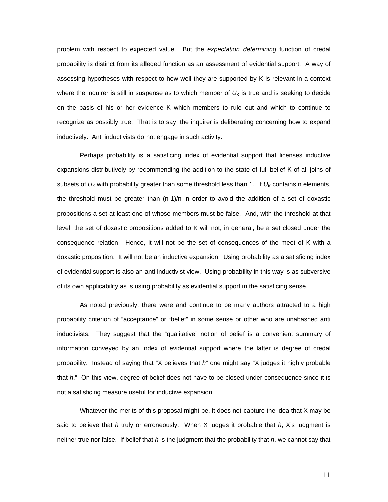problem with respect to expected value. But the *expectation determining* function of credal probability is distinct from its alleged function as an assessment of evidential support. A way of assessing hypotheses with respect to how well they are supported by K is relevant in a context where the inquirer is still in suspense as to which member of  $U_K$  is true and is seeking to decide on the basis of his or her evidence K which members to rule out and which to continue to recognize as possibly true. That is to say, the inquirer is deliberating concerning how to expand inductively. Anti inductivists do not engage in such activity.

Perhaps probability is a satisficing index of evidential support that licenses inductive expansions distributively by recommending the addition to the state of full belief K of all joins of subsets of  $U_K$  with probability greater than some threshold less than 1. If  $U_K$  contains n elements, the threshold must be greater than (n-1)/n in order to avoid the addition of a set of doxastic propositions a set at least one of whose members must be false. And, with the threshold at that level, the set of doxastic propositions added to K will not, in general, be a set closed under the consequence relation. Hence, it will not be the set of consequences of the meet of K with a doxastic proposition. It will not be an inductive expansion. Using probability as a satisficing index of evidential support is also an anti inductivist view. Using probability in this way is as subversive of its own applicability as is using probability as evidential support in the satisficing sense.

As noted previously, there were and continue to be many authors attracted to a high probability criterion of "acceptance" or "belief" in some sense or other who are unabashed anti inductivists. They suggest that the "qualitative" notion of belief is a convenient summary of information conveyed by an index of evidential support where the latter is degree of credal probability. Instead of saying that "X believes that *h*" one might say "X judges it highly probable that *h*." On this view, degree of belief does not have to be closed under consequence since it is not a satisficing measure useful for inductive expansion.

Whatever the merits of this proposal might be, it does not capture the idea that X may be said to believe that *h* truly or erroneously. When X judges it probable that *h*, X's judgment is neither true nor false. If belief that *h* is the judgment that the probability that *h*, we cannot say that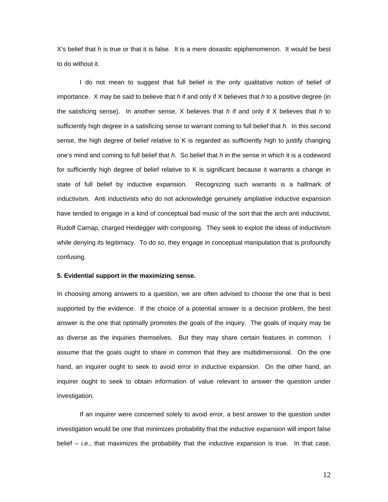X's belief that *h* is true or that it is false. It is a mere doxastic epiphenomenon. It would be best to do without it.

I do not mean to suggest that full belief is the only qualitative notion of belief of importance. X may be said to believe that *h* if and only if X believes that *h* to a positive degree (in the satisficing sense). In another sense, X believes that *h* if and only if X believes that *h* to sufficiently high degree in a satisficing sense to warrant coming to full belief that *h*. In this second sense, the high degree of belief relative to K is regarded as sufficiently high to justify changing one's mind and coming to full belief that *h*. So belief that *h* in the sense in which it is a codeword for sufficiently high degree of belief relative to K is significant because it warrants a change in state of full belief by inductive expansion. Recognizing such warrants is a hallmark of inductivism. Anti inductivists who do not acknowledge genuinely ampliative inductive expansion have tended to engage in a kind of conceptual bad music of the sort that the arch anti inductivist, Rudolf Carnap, charged Heidegger with composing. They seek to exploit the ideas of inductivism while denying its legitimacy. To do so, they engage in conceptual manipulation that is profoundly confusing.

#### **5. Evidential support in the maximizing sense.**

In choosing among answers to a question, we are often advised to choose the one that is best supported by the evidence. If the choice of a potential answer is a decision problem, the best answer is the one that optimally promotes the goals of the inquiry. The goals of inquiry may be as diverse as the inquiries themselves. But they may share certain features in common. I assume that the goals ought to share in common that they are multidimensional. On the one hand, an inquirer ought to seek to avoid error in inductive expansion. On the other hand, an inquirer ought to seek to obtain information of value relevant to answer the question under investigation.

If an inquirer were concerned solely to avoid error, a best answer to the question under investigation would be one that minimizes probability that the inductive expansion will import false belief – i.e., that maximizes the probability that the inductive expansion is true. In that case,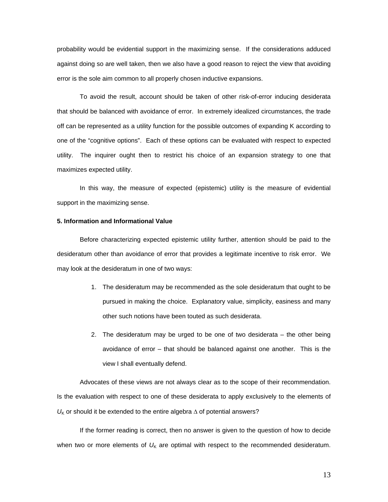probability would be evidential support in the maximizing sense. If the considerations adduced against doing so are well taken, then we also have a good reason to reject the view that avoiding error is the sole aim common to all properly chosen inductive expansions.

To avoid the result, account should be taken of other risk-of-error inducing desiderata that should be balanced with avoidance of error. In extremely idealized circumstances, the trade off can be represented as a utility function for the possible outcomes of expanding K according to one of the "cognitive options". Each of these options can be evaluated with respect to expected utility. The inquirer ought then to restrict his choice of an expansion strategy to one that maximizes expected utility.

In this way, the measure of expected (epistemic) utility is the measure of evidential support in the maximizing sense.

#### **5. Information and Informational Value**

Before characterizing expected epistemic utility further, attention should be paid to the desideratum other than avoidance of error that provides a legitimate incentive to risk error. We may look at the desideratum in one of two ways:

- 1. The desideratum may be recommended as the sole desideratum that ought to be pursued in making the choice. Explanatory value, simplicity, easiness and many other such notions have been touted as such desiderata.
- 2. The desideratum may be urged to be one of two desiderata the other being avoidance of error – that should be balanced against one another. This is the view I shall eventually defend.

Advocates of these views are not always clear as to the scope of their recommendation. Is the evaluation with respect to one of these desiderata to apply exclusively to the elements of  $U_K$  or should it be extended to the entire algebra  $\Delta$  of potential answers?

If the former reading is correct, then no answer is given to the question of how to decide when two or more elements of  $U<sub>K</sub>$  are optimal with respect to the recommended desideratum.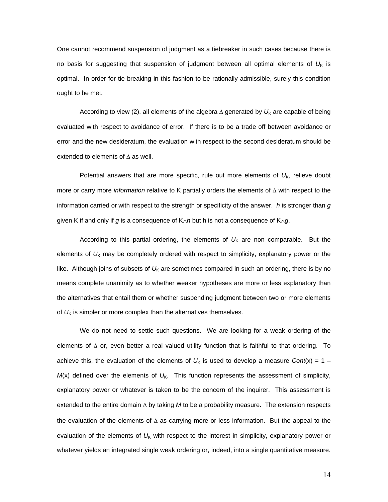One cannot recommend suspension of judgment as a tiebreaker in such cases because there is no basis for suggesting that suspension of judgment between all optimal elements of  $U<sub>K</sub>$  is optimal. In order for tie breaking in this fashion to be rationally admissible, surely this condition ought to be met.

According to view (2), all elements of the algebra  $\Delta$  generated by  $U_K$  are capable of being evaluated with respect to avoidance of error. If there is to be a trade off between avoidance or error and the new desideratum, the evaluation with respect to the second desideratum should be extended to elements of Δ as well.

Potential answers that are more specific, rule out more elements of  $U_{\rm K}$ , relieve doubt more or carry more *information* relative to K partially orders the elements of Δ with respect to the information carried or with respect to the strength or specificity of the answer. *h* is stronger than *g* given K if and only if *g* is a consequence of K∧*h* but h is not a consequence of K∧*g*.

According to this partial ordering, the elements of  $U_K$  are non comparable. But the elements of  $U_K$  may be completely ordered with respect to simplicity, explanatory power or the like. Although joins of subsets of  $U_K$  are sometimes compared in such an ordering, there is by no means complete unanimity as to whether weaker hypotheses are more or less explanatory than the alternatives that entail them or whether suspending judgment between two or more elements of  $U_K$  is simpler or more complex than the alternatives themselves.

We do not need to settle such questions. We are looking for a weak ordering of the elements of  $\Delta$  or, even better a real valued utility function that is faithful to that ordering. To achieve this, the evaluation of the elements of  $U_K$  is used to develop a measure *Cont*(x) = 1 –  $M(x)$  defined over the elements of  $U_K$ . This function represents the assessment of simplicity, explanatory power or whatever is taken to be the concern of the inquirer. This assessment is extended to the entire domain Δ by taking *M* to be a probability measure. The extension respects the evaluation of the elements of  $\Delta$  as carrying more or less information. But the appeal to the evaluation of the elements of  $U_K$  with respect to the interest in simplicity, explanatory power or whatever yields an integrated single weak ordering or, indeed, into a single quantitative measure.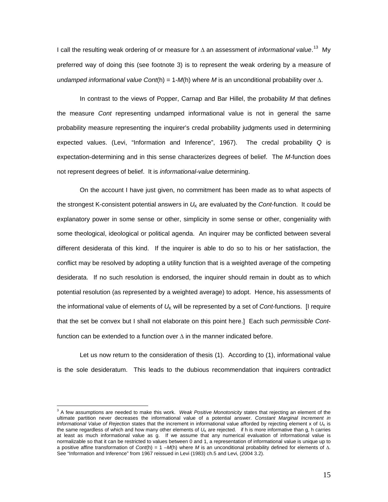I call the resulting weak ordering of or measure for Δ an assessment of *informational value*. [13](#page-14-0) My preferred way of doing this (see footnote 3) is to represent the weak ordering by a measure of *undamped informational value Cont*(h) = 1-*M*(h) where *M* is an unconditional probability over Δ.

In contrast to the views of Popper, Carnap and Bar Hillel, the probability *M* that defines the measure *Cont* representing undamped informational value is not in general the same probability measure representing the inquirer's credal probability judgments used in determining expected values. (Levi, "Information and Inference", 1967). The credal probability *Q* is expectation-determining and in this sense characterizes degrees of belief. The *M*-function does not represent degrees of belief. It is *informational-value* determining.

On the account I have just given, no commitment has been made as to what aspects of the strongest K-consistent potential answers in  $U<sub>K</sub>$  are evaluated by the *Cont*-function. It could be explanatory power in some sense or other, simplicity in some sense or other, congeniality with some theological, ideological or political agenda. An inquirer may be conflicted between several different desiderata of this kind. If the inquirer is able to do so to his or her satisfaction, the conflict may be resolved by adopting a utility function that is a weighted average of the competing desiderata. If no such resolution is endorsed, the inquirer should remain in doubt as to which potential resolution (as represented by a weighted average) to adopt. Hence, his assessments of the informational value of elements of  $U_K$  will be represented by a set of *Cont*-functions. [I require that the set be convex but I shall not elaborate on this point here.] Each such *permissible Cont*function can be extended to a function over  $\Delta$  in the manner indicated before.

Let us now return to the consideration of thesis (1). According to (1), informational value is the sole desideratum. This leads to the dubious recommendation that inquirers contradict

<span id="page-14-0"></span><sup>3</sup> A few assumptions are needed to make this work. *Weak Positive Monotonicity* states that rejecting an element of the ultimate partition never decreases the informational value of a potential answer. *Constant Marginal Increment in Informational Value of Rejection* states that the increment in informational value afforded by rejecting element x of *U<sub>K</sub>* is the same regardless of which and how many other elements of  $U_K$  are rejected. if h is more informative than g, h carries at least as much informational value as g. If we assume that any numerical evaluation of informational value is normalizable so that it can be restricted to values between 0 and 1, a representation of informational value is unique up to a positive affine transformation of *Cont*(h) = 1 –*M*(h) where *M* is an unconditional probability defined for elements of Δ. See "Information and Inference" from 1967 reissued in Levi (1983) ch.5 and Levi, (2004 3.2).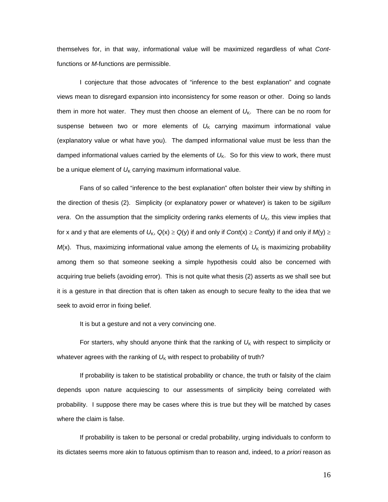themselves for, in that way, informational value will be maximized regardless of what *Cont*functions or *M*-functions are permissible.

I conjecture that those advocates of "inference to the best explanation" and cognate views mean to disregard expansion into inconsistency for some reason or other. Doing so lands them in more hot water. They must then choose an element of  $U_K$ . There can be no room for suspense between two or more elements of  $U_K$  carrying maximum informational value (explanatory value or what have you). The damped informational value must be less than the damped informational values carried by the elements of  $U_K$ . So for this view to work, there must be a unique element of  $U_K$  carrying maximum informational value.

Fans of so called "inference to the best explanation" often bolster their view by shifting in the direction of thesis (2). Simplicity (or explanatory power or whatever) is taken to be *sigillum vera*. On the assumption that the simplicity ordering ranks elements of  $U_K$ , this view implies that for x and y that are elements of  $U_K$ ,  $Q(x) \ge Q(y)$  if and only if *Cont*(x)  $\ge$  *Cont*(y) if and only if  $M(y) \ge$  $M(x)$ . Thus, maximizing informational value among the elements of  $U<sub>K</sub>$  is maximizing probability among them so that someone seeking a simple hypothesis could also be concerned with acquiring true beliefs (avoiding error). This is not quite what thesis (2) asserts as we shall see but it is a gesture in that direction that is often taken as enough to secure fealty to the idea that we seek to avoid error in fixing belief.

It is but a gesture and not a very convincing one.

For starters, why should anyone think that the ranking of  $U_K$  with respect to simplicity or whatever agrees with the ranking of  $U_K$  with respect to probability of truth?

If probability is taken to be statistical probability or chance, the truth or falsity of the claim depends upon nature acquiescing to our assessments of simplicity being correlated with probability. I suppose there may be cases where this is true but they will be matched by cases where the claim is false.

If probability is taken to be personal or credal probability, urging individuals to conform to its dictates seems more akin to fatuous optimism than to reason and, indeed, to *a priori* reason as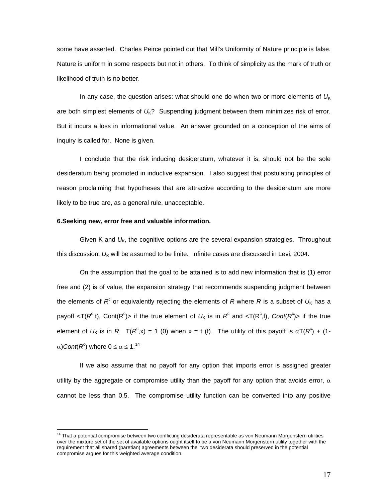some have asserted. Charles Peirce pointed out that Mill's Uniformity of Nature principle is false. Nature is uniform in some respects but not in others. To think of simplicity as the mark of truth or likelihood of truth is no better.

In any case, the question arises: what should one do when two or more elements of  $U<sub>K</sub>$ are both simplest elements of  $U_K$ ? Suspending judgment between them minimizes risk of error. But it incurs a loss in informational value. An answer grounded on a conception of the aims of inquiry is called for. None is given.

I conclude that the risk inducing desideratum, whatever it is, should not be the sole desideratum being promoted in inductive expansion. I also suggest that postulating principles of reason proclaiming that hypotheses that are attractive according to the desideratum are more likely to be true are, as a general rule, unacceptable.

#### **6.Seeking new, error free and valuable information.**

 $\overline{a}$ 

Given K and  $U_{k}$ , the cognitive options are the several expansion strategies. Throughout this discussion,  $U_K$  will be assumed to be finite. Infinite cases are discussed in Levi, 2004.

On the assumption that the goal to be attained is to add new information that is (1) error free and (2) is of value, the expansion strategy that recommends suspending judgment between the elements of  $R^c$  or equivalently rejecting the elements of  $R$  where  $R$  is a subset of  $U_K$  has a payoff <T( $R^c$ ,t), Cont( $R^c$ )> if the true element of  $U_K$  is in  $R^c$  and <T( $R^c$ ,f), *Cont*( $R^c$ )> if the true element of  $U_K$  is in *R*.  $T(R^c,x) = 1$  (0) when  $x = t$  (f). The utility of this payoff is  $\alpha T(R^c) + (1-t)^2$  $\alpha$ )*Cont*( $R^c$ ) where 0 ≤  $\alpha$  ≤ 1.<sup>[14](#page-16-0)</sup>

If we also assume that no payoff for any option that imports error is assigned greater utility by the aggregate or compromise utility than the payoff for any option that avoids error,  $\alpha$ cannot be less than 0.5. The compromise utility function can be converted into any positive

<span id="page-16-0"></span><sup>&</sup>lt;sup>14</sup> That a potential compromise between two conflicting desiderata representable as von Neumann Morgenstern utilities over the mixture set of the set of available options ought itself to be a von Neumann Morgenstern utility together with the requirement that all shared (paretian) agreements between the two desiderata should preserved in the potential compromise argues for this weighted average condition.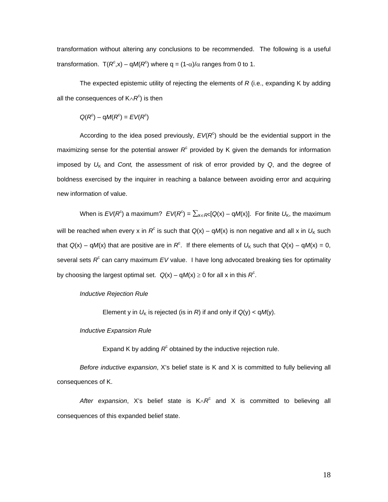transformation without altering any conclusions to be recommended. The following is a useful transformation.  $T(R^c, x) - qM(R^c)$  where  $q = (1 - \alpha)/\alpha$  ranges from 0 to 1.

The expected epistemic utility of rejecting the elements of *R* (i.e., expanding K by adding all the consequences of  $\mathsf{K}{\wedge}\mathsf{R}^\mathsf{c}$ ) is then

 $Q(R^c) - qM(R^c) = EV(R^c)$ 

According to the idea posed previously,  $EV(R^c)$  should be the evidential support in the maximizing sense for the potential answer  $R^c$  provided by K given the demands for information imposed by  $U_K$  and *Cont*, the assessment of risk of error provided by  $Q$ , and the degree of boldness exercised by the inquirer in reaching a balance between avoiding error and acquiring new information of value.

When is  $EV(R^c)$  a maximum?  $EV(R^c) = \sum_{x \in R^c}[Q(x) - qM(x)]$ . For finite  $U_K$ , the maximum will be reached when every x in  $R^c$  is such that  $Q(x) - qM(x)$  is non negative and all x in  $U_K$  such that  $Q(x) - qM(x)$  that are positive are in  $R^c$ . If there elements of  $U_K$  such that  $Q(x) - qM(x) = 0$ , several sets R<sup>c</sup> can carry maximum EV value. I have long advocated breaking ties for optimality by choosing the largest optimal set.  $Q(x) - qM(x) \ge 0$  for all x in this  $R^c$ .

*Inductive Rejection Rule* 

Element y in  $U_K$  is rejected (is in *R*) if and only if  $Q(y) < qM(y)$ .

*Inductive Expansion Rule*

Expand K by adding  $R^c$  obtained by the inductive rejection rule.

*Before inductive expansion*, X's belief state is K and X is committed to fully believing all consequences of K.

*After expansion*, X's belief state is  $K \wedge R^c$  and X is committed to believing all consequences of this expanded belief state.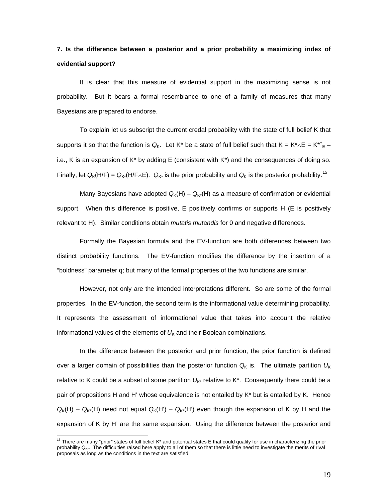# **7. Is the difference between a posterior and a prior probability a maximizing index of evidential support?**

It is clear that this measure of evidential support in the maximizing sense is not probability. But it bears a formal resemblance to one of a family of measures that many Bayesians are prepared to endorse.

To explain let us subscript the current credal probability with the state of full belief K that supports it so that the function is  $Q_K$ . Let K<sup>\*</sup> be a state of full belief such that K = K<sup>\*</sup>∧E = K<sup>\*+</sup><sub>E</sub> – i.e., K is an expansion of K\* by adding E (consistent with K\*) and the consequences of doing so. Finally, let  $Q_K(H/F) = Q_{K^*}(H/F \wedge E)$ .  $Q_{K^*}$  is the prior probability and  $Q_K$  is the posterior probability.<sup>[15](#page-18-0)</sup>

Many Bayesians have adopted  $Q_K(H) - Q_{K^*}(H)$  as a measure of confirmation or evidential support. When this difference is positive, E positively confirms or supports H (E is positively relevant to H). Similar conditions obtain *mutatis mutandis* for 0 and negative differences.

Formally the Bayesian formula and the EV-function are both differences between two distinct probability functions. The EV-function modifies the difference by the insertion of a "boldness" parameter q; but many of the formal properties of the two functions are similar.

However, not only are the intended interpretations different. So are some of the formal properties. In the EV-function, the second term is the informational value determining probability. It represents the assessment of informational value that takes into account the relative informational values of the elements of  $U_K$  and their Boolean combinations.

In the difference between the posterior and prior function, the prior function is defined over a larger domain of possibilities than the posterior function  $Q_K$  is. The ultimate partition  $U_K$ relative to K could be a subset of some partition  $U_{K^*}$  relative to K<sup>\*</sup>. Consequently there could be a pair of propositions H and H' whose equivalence is not entailed by K\* but is entailed by K. Hence  $Q_K(H) - Q_{K^*}(H)$  need not equal  $Q_K(H') - Q_{K^*}(H')$  even though the expansion of K by H and the expansion of K by H' are the same expansion. Using the difference between the posterior and

<span id="page-18-0"></span><sup>&</sup>lt;sup>15</sup> There are many "prior" states of full belief K<sup>\*</sup> and potential states E that could qualify for use in characterizing the prior probability  $Q_{K^*}$ . The difficulties raised here apply to all of them so that there is little need to investigate the merits of rival proposals as long as the conditions in the text are satisfied.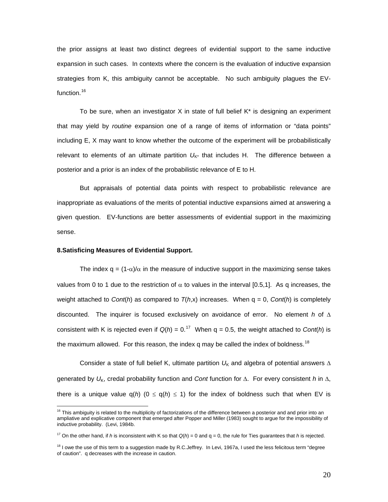the prior assigns at least two distinct degrees of evidential support to the same inductive expansion in such cases. In contexts where the concern is the evaluation of inductive expansion strategies from K, this ambiguity cannot be acceptable. No such ambiguity plagues the EV-function<sup>[16](#page-19-0)</sup>

To be sure, when an investigator X in state of full belief  $K^*$  is designing an experiment that may yield by *routine* expansion one of a range of items of information or "data points" including E, X may want to know whether the outcome of the experiment will be probabilistically relevant to elements of an ultimate partition  $U_{K^*}$  that includes H. The difference between a posterior and a prior is an index of the probabilistic relevance of E to H.

But appraisals of potential data points with respect to probabilistic relevance are inappropriate as evaluations of the merits of potential inductive expansions aimed at answering a given question. EV-functions are better assessments of evidential support in the maximizing sense.

#### **8.Satisficing Measures of Evidential Support.**

 $\overline{a}$ 

The index  $q = (1-\alpha)/\alpha$  in the measure of inductive support in the maximizing sense takes values from 0 to 1 due to the restriction of  $\alpha$  to values in the interval [0.5,1]. As q increases, the weight attached to *Cont*(*h*) as compared to  $T(h,x)$  increases. When  $q = 0$ , *Cont*(*h*) is completely discounted. The inquirer is focused exclusively on avoidance of error. No element *h* of Δ consistent with K is rejected even if  $Q(h) = 0.17$  $Q(h) = 0.17$  When  $q = 0.5$ , the weight attached to *Cont(h)* is the maximum allowed. For this reason, the index q may be called the index of boldness.<sup>[18](#page-19-2)</sup>

Consider a state of full belief K, ultimate partition  $U_K$  and algebra of potential answers  $\Delta$ generated by *U*K, credal probability function and *Cont* function for Δ. For every consistent *h* in Δ, there is a unique value  $q(h)$  ( $0 \leq q(h) \leq 1$ ) for the index of boldness such that when EV is

<span id="page-19-0"></span> $16$  This ambiguity is related to the multiplicity of factorizations of the difference between a posterior and and prior into an ampliative and explicative component that emerged after Popper and Miller (1983) sought to argue for the impossibility of inductive probability. (Levi, 1984b.

<span id="page-19-1"></span><sup>&</sup>lt;sup>17</sup> On the other hand, if *h* is inconsistent with K so that  $Q(h) = 0$  and  $q = 0$ , the rule for Ties guarantees that *h* is rejected.

<span id="page-19-2"></span> $18$  I owe the use of this term to a suggestion made by R.C. Jeffrey. In Levi, 1967a, I used the less felicitous term "degree" of caution". q decreases with the increase in caution.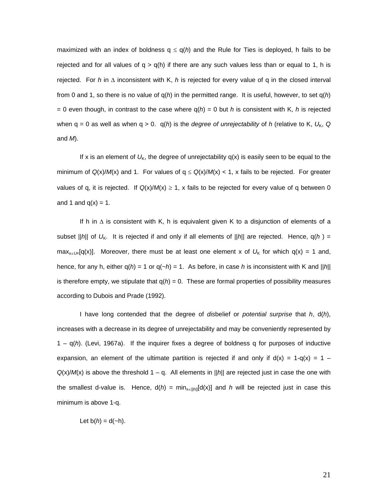maximized with an index of boldness  $q \leq q(h)$  and the Rule for Ties is deployed, h fails to be rejected and for all values of  $q > q(h)$  if there are any such values less than or equal to 1, h is rejected. For *h* in Δ inconsistent with K, *h* is rejected for every value of q in the closed interval from 0 and 1, so there is no value of q(*h*) in the permitted range. It is useful, however, to set q(*h*)  $= 0$  even though, in contrast to the case where  $q(h) = 0$  but *h* is consistent with K, *h* is rejected when  $q = 0$  as well as when  $q > 0$ .  $q(h)$  is the *degree of unrejectability* of *h* (relative to K,  $U_K$ ,  $Q$ and *M*).

If x is an element of  $U_{\rm K}$ , the degree of unrejectability  $q(x)$  is easily seen to be equal to the minimum of  $Q(x)/M(x)$  and 1. For values of  $q \le Q(x)/M(x) < 1$ , x fails to be rejected. For greater values of q, it is rejected. If  $Q(x)/M(x) \geq 1$ , x fails to be rejected for every value of q between 0 and 1 and  $q(x) = 1$ .

If h in  $\Delta$  is consistent with K, h is equivalent given K to a disjunction of elements of a subset  $||h||$  of  $U_K$ . It is rejected if and only if all elements of  $||h||$  are rejected. Hence,  $q(h)$  = max<sub>x∈*U*K</sub>[q(x)]. Moreover, there must be at least one element x of  $U_K$  for which q(x) = 1 and, hence, for any h, either  $q(h) = 1$  or  $q(-h) = 1$ . As before, in case *h* is inconsistent with K and  $||h||$ is therefore empty, we stipulate that  $q(h) = 0$ . These are formal properties of possibility measures according to Dubois and Prade (1992).

I have long contended that the degree of *dis*belief or *potential surprise* that *h*, d(*h*), increases with a decrease in its degree of unrejectability and may be conveniently represented by 1 – q(*h*). (Levi, 1967a). If the inquirer fixes a degree of boldness q for purposes of inductive expansion, an element of the ultimate partition is rejected if and only if  $d(x) = 1-q(x) = 1$  –  $Q(x)/M(x)$  is above the threshold 1 – q. All elements in  $||h||$  are rejected just in case the one with the smallest d-value is. Hence,  $d(h) = min_{x \in ||h||} [d(x)]$  and *h* will be rejected just in case this minimum is above 1-q.

Let 
$$
b(h) = d(-h)
$$
.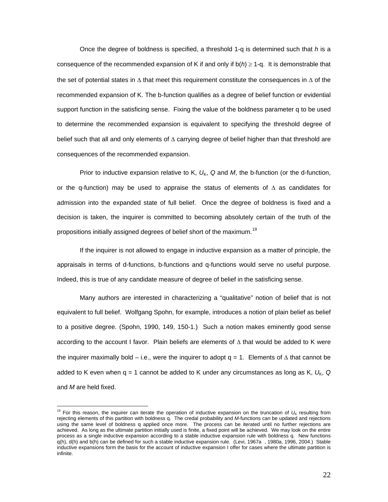Once the degree of boldness is specified, a threshold 1-q is determined such that *h* is a consequence of the recommended expansion of K if and only if  $b(h) \ge 1$ -q. It is demonstrable that the set of potential states in  $\Delta$  that meet this requirement constitute the consequences in  $\Delta$  of the recommended expansion of K. The b-function qualifies as a degree of belief function or evidential support function in the satisficing sense. Fixing the value of the boldness parameter q to be used to determine the recommended expansion is equivalent to specifying the threshold degree of belief such that all and only elements of Δ carrying degree of belief higher than that threshold are consequences of the recommended expansion.

Prior to inductive expansion relative to K,  $U_K$ , Q and M, the b-function (or the d-function, or the q-function) may be used to appraise the status of elements of  $\Delta$  as candidates for admission into the expanded state of full belief. Once the degree of boldness is fixed and a decision is taken, the inquirer is committed to becoming absolutely certain of the truth of the propositions initially assigned degrees of belief short of the maximum.<sup>[19](#page-21-0)</sup>

If the inquirer is not allowed to engage in inductive expansion as a matter of principle, the appraisals in terms of d-functions, b-functions and q-functions would serve no useful purpose. Indeed, this is true of any candidate measure of degree of belief in the satisficing sense.

Many authors are interested in characterizing a "qualitative" notion of belief that is not equivalent to full belief. Wolfgang Spohn, for example, introduces a notion of plain belief as belief to a positive degree. (Spohn, 1990, 149, 150-1.) Such a notion makes eminently good sense according to the account I favor. Plain beliefs are elements of Δ that would be added to K were the inquirer maximally bold – i.e., were the inquirer to adopt  $q = 1$ . Elements of  $\Delta$  that cannot be added to K even when  $q = 1$  cannot be added to K under any circumstances as long as K,  $U_{\rm K}$ , Q and *M* are held fixed.

<span id="page-21-0"></span><sup>&</sup>lt;sup>19</sup> For this reason, the inquirer can iterate the operation of inductive expansion on the truncation of  $U<sub>K</sub>$  resulting from rejecting elements of this partition with boldness q. The credal probability and *M*-functions can be updated and rejections using the same level of boldness q applied once more. The process can be iterated until no further rejections are achieved. As long as the ultimate partition initially used is finite, a fixed point will be achieved. We may look on the entire process as a single inductive expansion according to a stable inductive expansion rule with boldness q. New functions q(h), d(h) and b(h) can be defined for such a stable inductive expansion rule. (Levi, 1967a , 1980a, 1996, 2004.) Stable inductive expansions form the basis for the account of inductive expansion I offer for cases where the ultimate partition is infinite.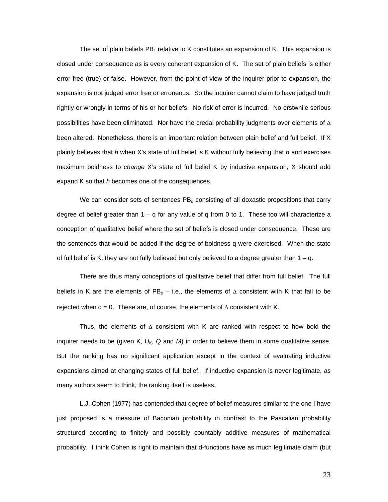The set of plain beliefs  $PB<sub>1</sub>$  relative to K constitutes an expansion of K. This expansion is closed under consequence as is every coherent expansion of K. The set of plain beliefs is either error free (true) or false. However, from the point of view of the inquirer prior to expansion, the expansion is not judged error free or erroneous. So the inquirer cannot claim to have judged truth rightly or wrongly in terms of his or her beliefs. No risk of error is incurred. No erstwhile serious possibilities have been eliminated. Nor have the credal probability judgments over elements of  $\Delta$ been altered. Nonetheless, there is an important relation between plain belief and full belief. If X plainly believes that *h* when X's state of full belief is K without fully believing that *h* and exercises maximum boldness to *change* X's state of full belief K by inductive expansion, X should add expand K so that *h* becomes one of the consequences.

We can consider sets of sentences  $PB<sub>a</sub>$  consisting of all doxastic propositions that carry degree of belief greater than  $1 - q$  for any value of q from 0 to 1. These too will characterize a conception of qualitative belief where the set of beliefs is closed under consequence. These are the sentences that would be added if the degree of boldness q were exercised. When the state of full belief is K, they are not fully believed but only believed to a degree greater than  $1 - q$ .

There are thus many conceptions of qualitative belief that differ from full belief. The full beliefs in K are the elements of PB<sub>0</sub> – i.e., the elements of  $\Delta$  consistent with K that fail to be rejected when  $q = 0$ . These are, of course, the elements of  $\Delta$  consistent with K.

Thus, the elements of  $\Delta$  consistent with K are ranked with respect to how bold the inquirer needs to be (given K,  $U_K$ , Q and M) in order to believe them in some qualitative sense. But the ranking has no significant application except in the context of evaluating inductive expansions aimed at changing states of full belief. If inductive expansion is never legitimate, as many authors seem to think, the ranking itself is useless.

L.J. Cohen (1977) has contended that degree of belief measures similar to the one I have just proposed is a measure of Baconian probability in contrast to the Pascalian probability structured according to finitely and possibly countably additive measures of mathematical probability. I think Cohen is right to maintain that d-functions have as much legitimate claim (but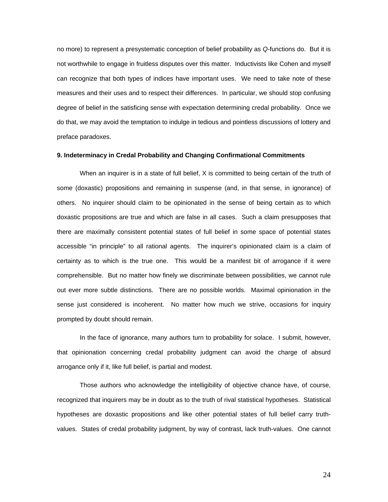no more) to represent a presystematic conception of belief probability as *Q*-functions do. But it is not worthwhile to engage in fruitless disputes over this matter. Inductivists like Cohen and myself can recognize that both types of indices have important uses. We need to take note of these measures and their uses and to respect their differences. In particular, we should stop confusing degree of belief in the satisficing sense with expectation determining credal probability. Once we do that, we may avoid the temptation to indulge in tedious and pointless discussions of lottery and preface paradoxes.

#### **9. Indeterminacy in Credal Probability and Changing Confirmational Commitments**

When an inquirer is in a state of full belief, X is committed to being certain of the truth of some (doxastic) propositions and remaining in suspense (and, in that sense, in ignorance) of others. No inquirer should claim to be opinionated in the sense of being certain as to which doxastic propositions are true and which are false in all cases. Such a claim presupposes that there are maximally consistent potential states of full belief in some space of potential states accessible "in principle" to all rational agents. The inquirer's opinionated claim is a claim of certainty as to which is the true one. This would be a manifest bit of arrogance if it were comprehensible. But no matter how finely we discriminate between possibilities, we cannot rule out ever more subtle distinctions. There are no possible worlds. Maximal opinionation in the sense just considered is incoherent. No matter how much we strive, occasions for inquiry prompted by doubt should remain.

In the face of ignorance, many authors turn to probability for solace. I submit, however, that opinionation concerning credal probability judgment can avoid the charge of absurd arrogance only if it, like full belief, is partial and modest.

Those authors who acknowledge the intelligibility of objective chance have, of course, recognized that inquirers may be in doubt as to the truth of rival statistical hypotheses. Statistical hypotheses are doxastic propositions and like other potential states of full belief carry truthvalues. States of credal probability judgment, by way of contrast, lack truth-values. One cannot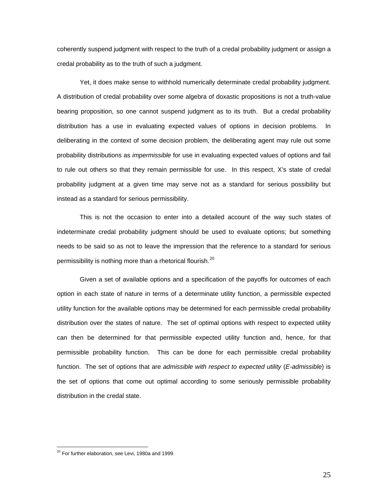coherently suspend judgment with respect to the truth of a credal probability judgment or assign a credal probability as to the truth of such a judgment.

Yet, it does make sense to withhold numerically determinate credal probability judgment. A distribution of credal probability over some algebra of doxastic propositions is not a truth-value bearing proposition, so one cannot suspend judgment as to its truth. But a credal probability distribution has a use in evaluating expected values of options in decision problems. In deliberating in the context of some decision problem, the deliberating agent may rule out some probability distributions as *impermissible* for use in evaluating expected values of options and fail to rule out others so that they remain permissible for use. In this respect, X's state of credal probability judgment at a given time may serve not as a standard for serious possibility but instead as a standard for serious permissibility.

This is not the occasion to enter into a detailed account of the way such states of indeterminate credal probability judgment should be used to evaluate options; but something needs to be said so as not to leave the impression that the reference to a standard for serious permissibility is nothing more than a rhetorical flourish.<sup>[20](#page-24-0)</sup>

Given a set of available options and a specification of the payoffs for outcomes of each option in each state of nature in terms of a determinate utility function, a permissible expected utility function for the available options may be determined for each permissible credal probability distribution over the states of nature. The set of optimal options with respect to expected utility can then be determined for that permissible expected utility function and, hence, for that permissible probability function. This can be done for each permissible credal probability function. The set of options that are *admissible with respect to expected utility* (*E-admissible*) is the set of options that come out optimal according to some seriously permissible probability distribution in the credal state.

 $\overline{a}$ 

<span id="page-24-0"></span><sup>&</sup>lt;sup>20</sup> For further elaboration, see Levi, 1980a and 1999.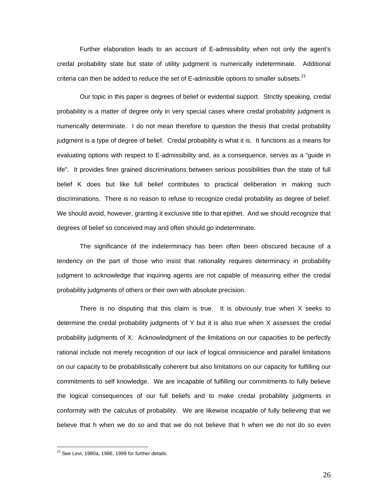Further elaboration leads to an account of E-admissibility when not only the agent's credal probability state but state of utility judgment is numerically indeterminate. Additional criteria can then be added to reduce the set of E-admissible options to smaller subsets. $^{21}$  $^{21}$  $^{21}$ 

Our topic in this paper is degrees of belief or evidential support. Strictly speaking, credal probability is a matter of degree only in very special cases where credal probability judgment is numerically determinate. I do not mean therefore to question the thesis that credal probability judgment is a type of degree of belief. Credal probability is what it is. It functions as a means for evaluating options with respect to E-admissibility and, as a consequence, serves as a "guide in life". It provides finer grained discriminations between serious possibilities than the state of full belief K does but like full belief contributes to practical deliberation in making such discriminations. There is no reason to refuse to recognize credal probability as degree of belief. We should avoid, however, granting it exclusive title to that epithet. And we should recognize that degrees of belief so conceived may and often should go indeterminate.

The significance of the indeterminacy has been often been obscured because of a tendency on the part of those who insist that rationality requires determinacy in probability judgment to acknowledge that inquiring agents are not capable of measuring either the credal probability judgments of others or their own with absolute precision.

There is no disputing that this claim is true. It is obviously true when X seeks to determine the credal probability judgments of Y but it is also true when X assesses the credal probability judgments of X. Acknowledgment of the limitations on our capacities to be perfectly rational include not merely recognition of our lack of logical omnisicience and parallel limitations on our capacity to be probabilistically coherent but also limitations on our capacity for fulfilling our commitments to self knowledge. We are incapable of fulfilling our commitments to fully believe the logical consequences of our full beliefs and to make credal probability judgments in conformity with the calculus of probability. We are likewise incapable of fully believing that we believe that h when we do so and that we do not believe that h when we do not do so even

<span id="page-25-0"></span> $21$  See Levi, 1980a, 1986, 1999 for further details.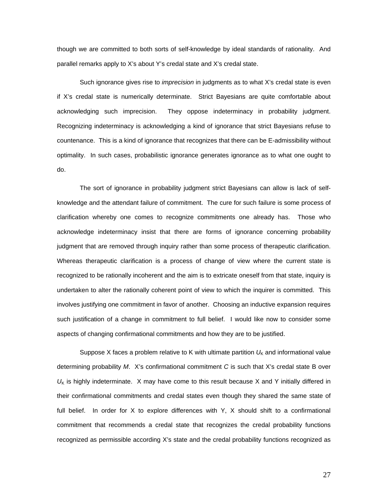though we are committed to both sorts of self-knowledge by ideal standards of rationality. And parallel remarks apply to X's about Y's credal state and X's credal state.

Such ignorance gives rise to *imprecision* in judgments as to what X's credal state is even if X's credal state is numerically determinate. Strict Bayesians are quite comfortable about acknowledging such imprecision. They oppose indeterminacy in probability judgment. Recognizing indeterminacy is acknowledging a kind of ignorance that strict Bayesians refuse to countenance. This is a kind of ignorance that recognizes that there can be E-admissibility without optimality. In such cases, probabilistic ignorance generates ignorance as to what one ought to do.

The sort of ignorance in probability judgment strict Bayesians can allow is lack of selfknowledge and the attendant failure of commitment. The cure for such failure is some process of clarification whereby one comes to recognize commitments one already has. Those who acknowledge indeterminacy insist that there are forms of ignorance concerning probability judgment that are removed through inquiry rather than some process of therapeutic clarification. Whereas therapeutic clarification is a process of change of view where the current state is recognized to be rationally incoherent and the aim is to extricate oneself from that state, inquiry is undertaken to alter the rationally coherent point of view to which the inquirer is committed. This involves justifying one commitment in favor of another. Choosing an inductive expansion requires such justification of a change in commitment to full belief. I would like now to consider some aspects of changing confirmational commitments and how they are to be justified.

Suppose X faces a problem relative to K with ultimate partition  $U_K$  and informational value determining probability *M*. X's confirmational commitment *C* is such that X's credal state B over  $U<sub>K</sub>$  is highly indeterminate. X may have come to this result because X and Y initially differed in their confirmational commitments and credal states even though they shared the same state of full belief. In order for X to explore differences with Y, X should shift to a confirmational commitment that recommends a credal state that recognizes the credal probability functions recognized as permissible according X's state and the credal probability functions recognized as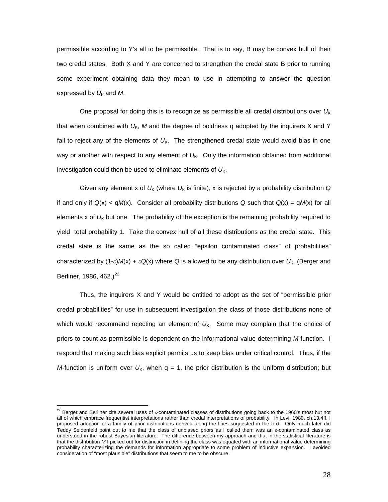permissible according to Y's all to be permissible. That is to say, B may be convex hull of their two credal states. Both X and Y are concerned to strengthen the credal state B prior to running some experiment obtaining data they mean to use in attempting to answer the question expressed by  $U_K$  and M.

One proposal for doing this is to recognize as permissible all credal distributions over  $U<sub>K</sub>$ that when combined with  $U_K$ , M and the degree of boldness q adopted by the inquirers X and Y fail to reject any of the elements of  $U_K$ . The strengthened credal state would avoid bias in one way or another with respect to any element of  $U_K$ . Only the information obtained from additional investigation could then be used to eliminate elements of  $U_{K}$ .

Given any element x of  $U_K$  (where  $U_K$  is finite), x is rejected by a probability distribution  $Q$ if and only if  $Q(x) < qM(x)$ . Consider all probability distributions Q such that  $Q(x) = qM(x)$  for all elements x of  $U<sub>K</sub>$  but one. The probability of the exception is the remaining probability required to yield total probability 1. Take the convex hull of all these distributions as the credal state. This credal state is the same as the so called "epsilon contaminated class" of probabilities" characterized by  $(1-\varepsilon)M(x) + \varepsilon Q(x)$  where *Q* is allowed to be any distribution over  $U_K$ . (Berger and Berliner, 1986, 462.)<sup>[22](#page-27-0)</sup>

Thus, the inquirers X and Y would be entitled to adopt as the set of "permissible prior credal probabilities" for use in subsequent investigation the class of those distributions none of which would recommend rejecting an element of  $U_K$ . Some may complain that the choice of priors to count as permissible is dependent on the informational value determining *M*-function. I respond that making such bias explicit permits us to keep bias under critical control. Thus, if the *M*-function is uniform over  $U_K$ , when  $q = 1$ , the prior distribution is the uniform distribution; but

<span id="page-27-0"></span> $^{22}$  Berger and Berliner cite several uses of  $\varepsilon$ -contaminated classes of distributions going back to the 1960's most but not all of which embrace frequentist interpretations rather than credal interpretations of probability. In Levi, 1980, ch.13.4ff, I proposed adoption of a family of prior distributions derived along the lines suggested in the text. Only much later did Teddy Seidenfeld point out to me that the class of unbiased priors as I called them was an ε-contaminated class as understood in the robust Bayesian literature. The difference between my approach and that in the statistical literature is that the distribution *M* I picked out for distinction in defining the class was equated with an informational value determining probability characterizing the demands for information appropriate to some problem of inductive expansion. I avoided consideration of "most plausible" distributions that seem to me to be obscure.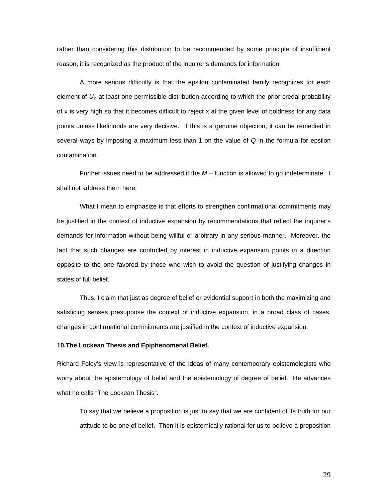rather than considering this distribution to be recommended by some principle of insufficient reason, it is recognized as the product of the inquirer's demands for information.

A more serious difficulty is that the epsilon contaminated family recognizes for each element of  $U_K$  at least one permissible distribution according to which the prior credal probability of x is very high so that it becomes difficult to reject x at the given level of boldness for any data points unless likelihoods are very decisive. If this is a genuine objection, it can be remedied in several ways by imposing a maximum less than 1 on the value of *Q* in the formula for epsilon contamination.

Further issues need to be addressed if the *M* – function is allowed to go indeterminate. I shall not address them here.

What I mean to emphasize is that efforts to strengthen confirmational commitments may be justified in the context of inductive expansion by recommendations that reflect the inquirer's demands for information without being willful or arbitrary in any serious manner. Moreover, the fact that such changes are controlled by interest in inductive expansion points in a direction opposite to the one favored by those who wish to avoid the question of justifying changes in states of full belief.

Thus, I claim that just as degree of belief or evidential support in both the maximizing and satisficing senses presuppose the context of inductive expansion, in a broad class of cases, changes in confirmational commitments are justified in the context of inductive expansion.

#### **10.The Lockean Thesis and Epiphenomenal Belief.**

Richard Foley's view is representative of the ideas of many contemporary epistemologists who worry about the epistemology of belief and the epistemology of degree of belief. He advances what he calls "The Lockean Thesis".

To say that we believe a proposition is just to say that we are confident of its truth for our attitude to be one of belief. Then it is epistemically rational for us to believe a proposition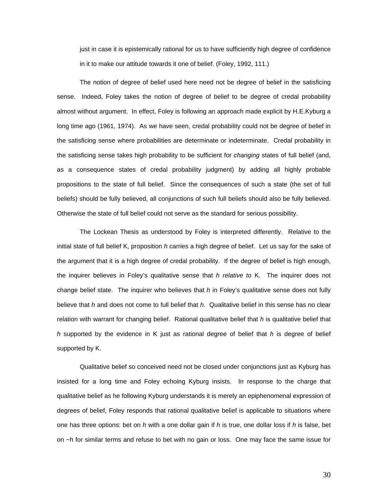just in case it is epistemically rational for us to have sufficiently high degree of confidence in it to make our attitude towards it one of belief. (Foley, 1992, 111.)

The notion of degree of belief used here need not be degree of belief in the satisficing sense. Indeed, Foley takes the notion of degree of belief to be degree of credal probability almost without argument. In effect, Foley is following an approach made explicit by H.E.Kyburg a long time ago (1961, 1974). As we have seen, credal probability could not be degree of belief in the satisficing sense where probabilities are determinate or indeterminate. Credal probability in the satisficing sense takes high probability to be sufficient for *changing* states of full belief (and, as a consequence states of credal probability judgment) by adding all highly probable propositions to the state of full belief. Since the consequences of such a state (the set of full beliefs) should be fully believed, all conjunctions of such full beliefs should also be fully believed. Otherwise the state of full belief could not serve as the standard for serious possibility.

The Lockean Thesis as understood by Foley is interpreted differently. Relative to the initial state of full belief K, proposition *h* carries a high degree of belief. Let us say for the sake of the argument that it is a high degree of credal probability. If the degree of belief is high enough, the inquirer believes in Foley's qualitative sense that *h relative to* K*.* The inquirer does not change belief state. The inquirer who believes that *h* in Foley's qualitative sense does not fully believe that *h* and does not come to full belief that *h*. Qualitative belief in this sense has no clear relation with warrant for changing belief. Rational qualitative belief that *h* is qualitative belief that *h* supported by the evidence in K just as rational degree of belief that *h* is degree of belief supported by K.

Qualitative belief so conceived need not be closed under conjunctions just as Kyburg has insisted for a long time and Foley echoing Kyburg insists. In response to the charge that qualitative belief as he following Kyburg understands it is merely an epiphenomenal expression of degrees of belief, Foley responds that rational qualitative belief is applicable to situations where one has three options: bet on *h* with a one dollar gain if *h* is true, one dollar loss if *h* is false, bet on ~h for similar terms and refuse to bet with no gain or loss. One may face the same issue for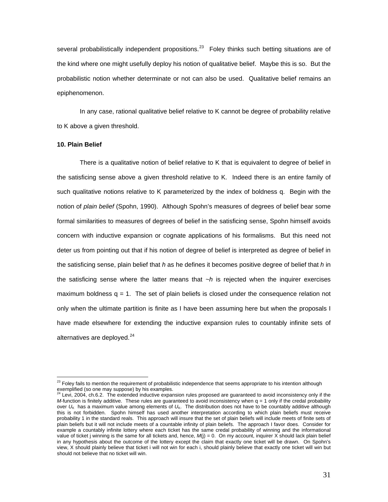several probabilistically independent propositions. $^{23}$  $^{23}$  $^{23}$  Foley thinks such betting situations are of the kind where one might usefully deploy his notion of qualitative belief. Maybe this is so. But the probabilistic notion whether determinate or not can also be used. Qualitative belief remains an epiphenomenon.

In any case, rational qualitative belief relative to K cannot be degree of probability relative to K above a given threshold.

#### **10. Plain Belief**

 $\overline{a}$ 

There is a qualitative notion of belief relative to K that is equivalent to degree of belief in the satisficing sense above a given threshold relative to K. Indeed there is an entire family of such qualitative notions relative to K parameterized by the index of boldness q. Begin with the notion of *plain belief* (Spohn, 1990). Although Spohn's measures of degrees of belief bear some formal similarities to measures of degrees of belief in the satisficing sense, Spohn himself avoids concern with inductive expansion or cognate applications of his formalisms. But this need not deter us from pointing out that if his notion of degree of belief is interpreted as degree of belief in the satisficing sense, plain belief that *h* as he defines it becomes positive degree of belief that *h* in the satisficing sense where the latter means that *~h* is rejected when the inquirer exercises maximum boldness  $q = 1$ . The set of plain beliefs is closed under the consequence relation not only when the ultimate partition is finite as I have been assuming here but when the proposals I have made elsewhere for extending the inductive expansion rules to countably infinite sets of alternatives are deployed. $24$ 

<span id="page-30-0"></span> $^{23}$  Foley fails to mention the requirement of probabilistic independence that seems appropriate to his intention although exemplified (so one may suppose) by his examples.

<span id="page-30-1"></span>Levi, 2004, ch.6.2. The extended inductive expansion rules proposed are guaranteed to avoid inconsistency only if the *M*-function is finitely additive. These rules are guaranteed to avoid inconsistency when q = 1 only if the credal probability over  $U_K$  has a maximum value among elements of  $U_K$ . The distribution does not have to be countably additive although this is not forbidden. Spohn himself has used another interpretation according to which plain beliefs must receive probability 1 in the standard reals. This approach will insure that the set of plain beliefs will include meets of finite sets of plain beliefs but it will not include meets of a countable infinity of plain beliefs. The approach I favor does. Consider for example a countably infinite lottery where each ticket has the same credal probability of winning and the informational value of ticket j winning is the same for all tickets and, hence, *M*(j) = 0. On my account, inquirer X should lack plain belief in any hypothesis about the outcome of the lottery except the claim that exactly one ticket will be drawn. On Spohn's view, X should plainly believe that ticket i will not win for each i, should plainly believe that exactly one ticket will win but should not believe that no ticket will win.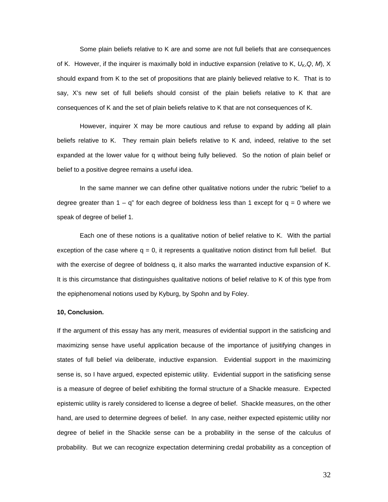Some plain beliefs relative to K are and some are not full beliefs that are consequences of K. However, if the inquirer is maximally bold in inductive expansion (relative to K,  $U<sub>K</sub>, Q, M<sub>N</sub>, X$ should expand from K to the set of propositions that are plainly believed relative to K. That is to say, X's new set of full beliefs should consist of the plain beliefs relative to K that are consequences of K and the set of plain beliefs relative to K that are not consequences of K.

However, inquirer X may be more cautious and refuse to expand by adding all plain beliefs relative to K. They remain plain beliefs relative to K and, indeed, relative to the set expanded at the lower value for q without being fully believed. So the notion of plain belief or belief to a positive degree remains a useful idea.

In the same manner we can define other qualitative notions under the rubric "belief to a degree greater than  $1 - q$ " for each degree of boldness less than 1 except for  $q = 0$  where we speak of degree of belief 1.

Each one of these notions is a qualitative notion of belief relative to K. With the partial exception of the case where  $q = 0$ , it represents a qualitative notion distinct from full belief. But with the exercise of degree of boldness q, it also marks the warranted inductive expansion of K. It is this circumstance that distinguishes qualitative notions of belief relative to K of this type from the epiphenomenal notions used by Kyburg, by Spohn and by Foley.

#### **10, Conclusion.**

If the argument of this essay has any merit, measures of evidential support in the satisficing and maximizing sense have useful application because of the importance of jusitifying changes in states of full belief via deliberate, inductive expansion. Evidential support in the maximizing sense is, so I have argued, expected epistemic utility. Evidential support in the satisficing sense is a measure of degree of belief exhibiting the formal structure of a Shackle measure. Expected epistemic utility is rarely considered to license a degree of belief. Shackle measures, on the other hand, are used to determine degrees of belief. In any case, neither expected epistemic utility nor degree of belief in the Shackle sense can be a probability in the sense of the calculus of probability. But we can recognize expectation determining credal probability as a conception of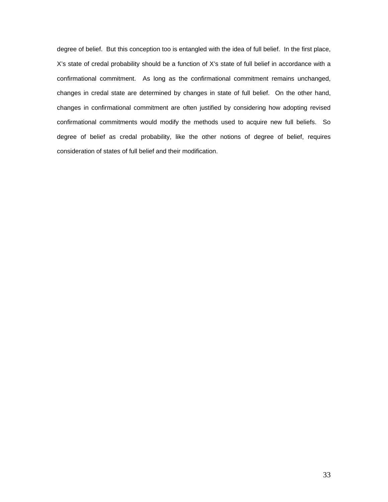degree of belief. But this conception too is entangled with the idea of full belief. In the first place, X's state of credal probability should be a function of X's state of full belief in accordance with a confirmational commitment. As long as the confirmational commitment remains unchanged, changes in credal state are determined by changes in state of full belief. On the other hand, changes in confirmational commitment are often justified by considering how adopting revised confirmational commitments would modify the methods used to acquire new full beliefs. So degree of belief as credal probability, like the other notions of degree of belief, requires consideration of states of full belief and their modification.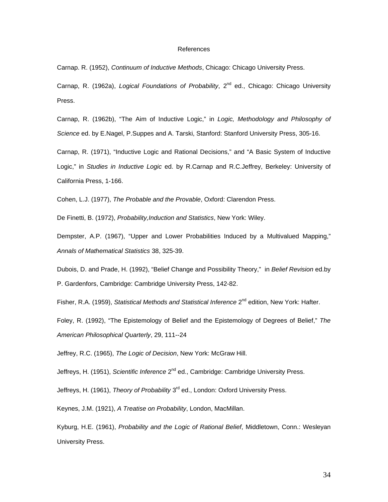#### References

Carnap. R. (1952), *Continuum of Inductive Methods*, Chicago: Chicago University Press.

Carnap, R. (1962a), *Logical Foundations of Probability*, 2<sup>nd</sup> ed., Chicago: Chicago University Press.

Carnap, R. (1962b), "The Aim of Inductive Logic," in *Logic, Methodology and Philosophy of Science* ed. by E.Nagel, P.Suppes and A. Tarski, Stanford: Stanford University Press, 305-16.

Carnap, R. (1971), "Inductive Logic and Rational Decisions," and "A Basic System of Inductive Logic," in *Studies in Inductive Logic* ed. by R.Carnap and R.C.Jeffrey, Berkeley: University of California Press, 1-166.

Cohen, L.J. (1977), *The Probable and the Provable*, Oxford: Clarendon Press.

De Finetti, B. (1972), *Probability,Induction and Statistics*, New York: Wiley.

Dempster, A.P. (1967), "Upper and Lower Probabilities Induced by a Multivalued Mapping," *Annals of Mathematical Statistics* 38, 325-39.

Dubois, D. and Prade, H. (1992), "Belief Change and Possibility Theory," in *Belief Revision* ed.by P. Gardenfors, Cambridge: Cambridge University Press, 142-82.

Fisher, R.A. (1959), *Statistical Methods and Statistical Inference* 2<sup>nd</sup> edition, New York: Hafter.

Foley, R. (1992), "The Epistemology of Belief and the Epistemology of Degrees of Belief," *The American Philosophical Quarterly*, 29, 111--24

Jeffrey, R.C. (1965), *The Logic of Decision*, New York: McGraw Hill.

Jeffreys, H. (1951), *Scientific Inference* 2nd ed., Cambridge: Cambridge University Press.

Jeffreys, H. (1961), *Theory of Probability* 3<sup>rd</sup> ed., London: Oxford University Press.

Keynes, J.M. (1921), *A Treatise on Probability*, London, MacMillan.

Kyburg, H.E. (1961), *Probability and the Logic of Rational Belief*, Middletown, Conn.: Wesleyan University Press.